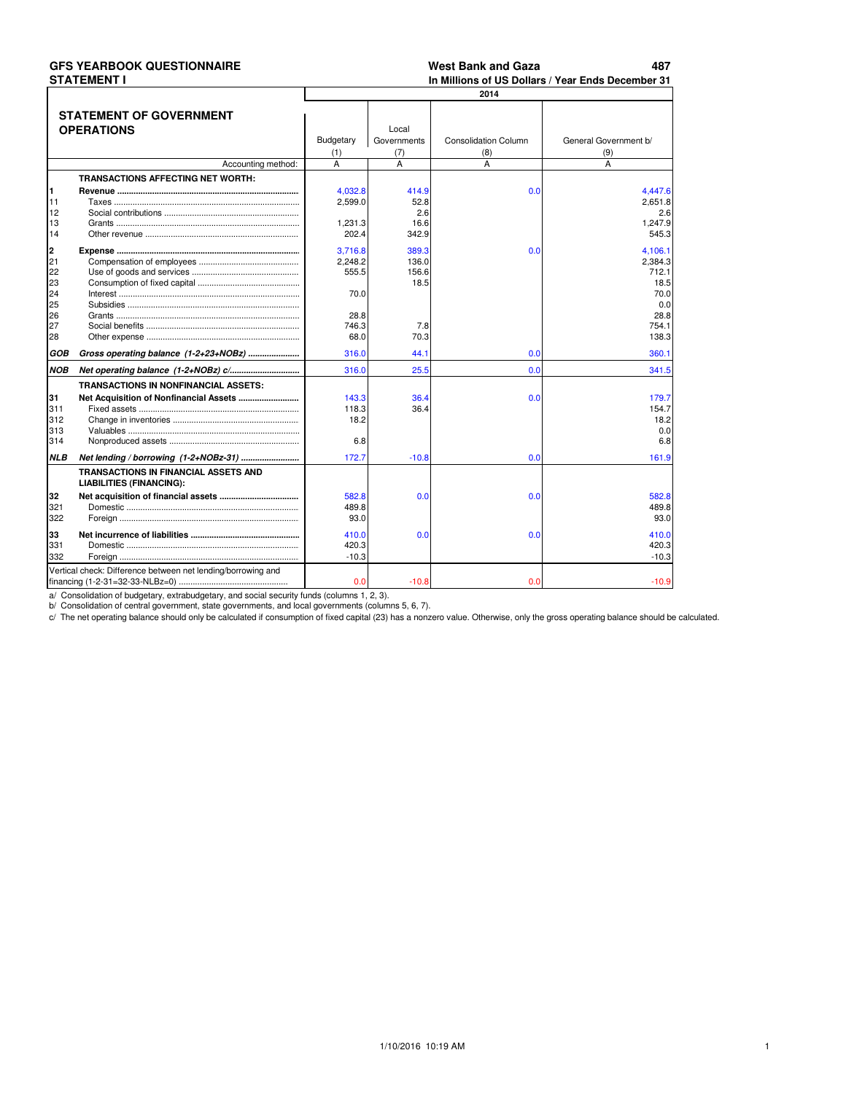|                                 | <b>GFS YEARBOOK QUESTIONNAIRE</b><br><b>STATEMENT I</b>                        |                                        |                                       | <b>West Bank and Gaza</b>          | 487<br>In Millions of US Dollars / Year Ends December 31 |
|---------------------------------|--------------------------------------------------------------------------------|----------------------------------------|---------------------------------------|------------------------------------|----------------------------------------------------------|
|                                 |                                                                                |                                        |                                       | 2014                               |                                                          |
|                                 | <b>STATEMENT OF GOVERNMENT</b><br><b>OPERATIONS</b>                            | Budgetary<br>(1)                       | Local<br>Governments<br>(7)           | <b>Consolidation Column</b><br>(8) | General Government b/<br>(9)                             |
|                                 | Accounting method:                                                             | A                                      | A                                     | A                                  | A                                                        |
|                                 | <b>TRANSACTIONS AFFECTING NET WORTH:</b>                                       |                                        |                                       |                                    |                                                          |
| 1<br>11<br>12<br>13<br>14       |                                                                                | 4,032.8<br>2,599.0<br>1.231.3<br>202.4 | 414.9<br>52.8<br>2.6<br>16.6<br>342.9 | 0.0                                | 4,447.6<br>2.651.8<br>2.6<br>1.247.9<br>545.3            |
| 2<br>21<br>22<br>23<br>24<br>25 |                                                                                | 3,716.8<br>2,248.2<br>555.5<br>70.0    | 389.3<br>136.0<br>156.6<br>18.5       | 0.0                                | 4,106.1<br>2,384.3<br>712.1<br>18.5<br>70.0<br>0.0       |
| 26<br>27<br>28                  |                                                                                | 28.8<br>746.3<br>68.0                  | 7.8<br>70.3                           |                                    | 28.8<br>754.1<br>138.3                                   |
| GOB                             | Gross operating balance (1-2+23+NOBz)                                          | 316.0                                  | 44.1                                  | 0.0                                | 360.1                                                    |
| <b>NOB</b>                      |                                                                                | 316.0                                  | 25.5                                  | 0.0                                | 341.5                                                    |
| 31<br>311<br>312<br>313<br>314  | <b>TRANSACTIONS IN NONFINANCIAL ASSETS:</b>                                    | 143.3<br>118.3<br>18.2<br>6.8          | 36.4<br>36.4                          | 0.0                                | 179.7<br>154.7<br>18.2<br>0.0<br>6.8                     |
| <b>NLB</b>                      |                                                                                | 172.7                                  | $-10.8$                               | 0.0                                | 161.9                                                    |
|                                 | <b>TRANSACTIONS IN FINANCIAL ASSETS AND</b><br><b>LIABILITIES (FINANCING):</b> |                                        |                                       |                                    |                                                          |
| 32<br>321<br>322                |                                                                                | 582.8<br>489.8<br>93.0                 | 0.0                                   | 0.0                                | 582.8<br>489.8<br>93.0                                   |
| 33<br>331<br>332                |                                                                                | 410.0<br>420.3<br>$-10.3$              | 0.0                                   | 0.0                                | 410.0<br>420.3<br>$-10.3$                                |
|                                 | Vertical check: Difference between net lending/borrowing and                   | 0.0                                    | $-10.8$                               | 0.0                                | $-10.9$                                                  |

# **GES VEARROOK QUESTIONNAIRE**

a Consolidation of budgetary, extrabudgetary, and social security funds (columns 1, 2, 3).<br>b/ Consolidation of budgetary, extrabudgetary, and social security funds (columns 1, 2, 3).<br>c/ The net operating balance should onl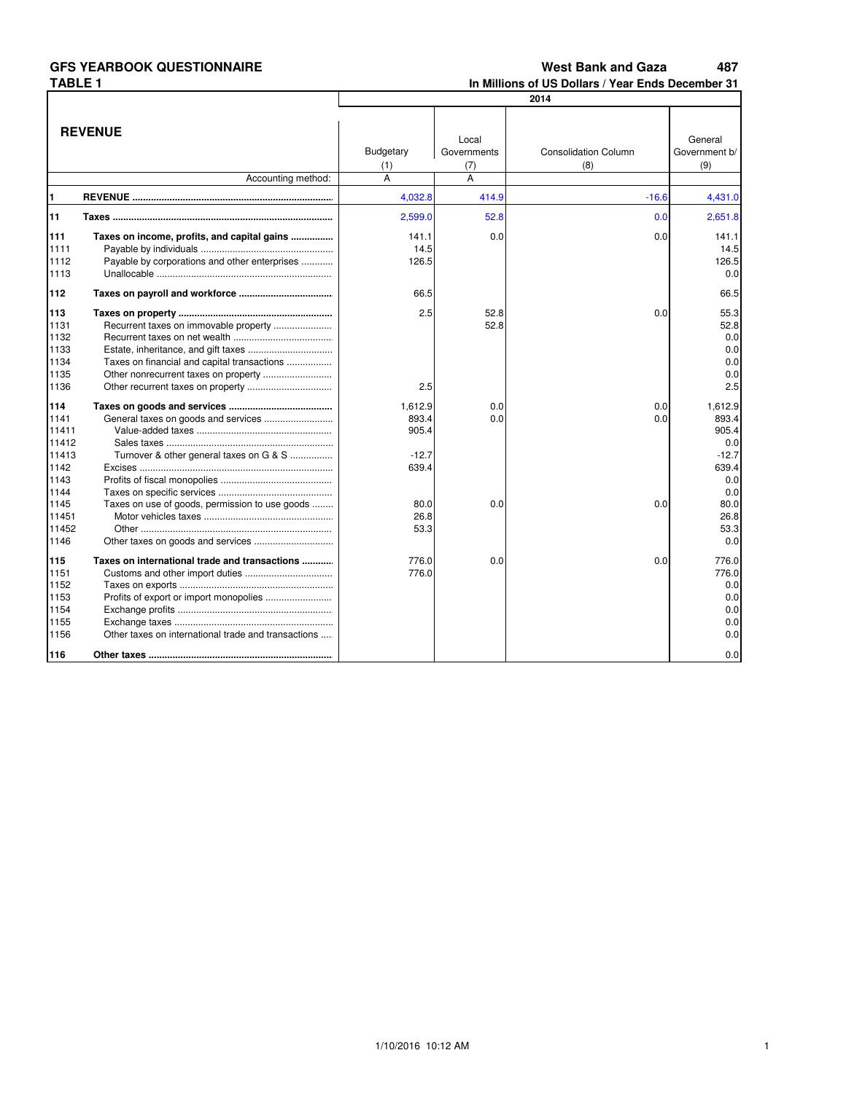487 **West Bank and Gaza** In Millions of US Dollars / Year Ends December 31

|                                                                                                  | 2014                                                                                                 |                                                                       |                      |                             |                                                                                                   |  |
|--------------------------------------------------------------------------------------------------|------------------------------------------------------------------------------------------------------|-----------------------------------------------------------------------|----------------------|-----------------------------|---------------------------------------------------------------------------------------------------|--|
|                                                                                                  | <b>REVENUE</b>                                                                                       | Budgetary                                                             | Local<br>Governments | <b>Consolidation Column</b> | General<br>Government b/                                                                          |  |
|                                                                                                  |                                                                                                      | (1)                                                                   | (7)                  | (8)                         | (9)                                                                                               |  |
|                                                                                                  | Accounting method:                                                                                   | A                                                                     | A                    |                             |                                                                                                   |  |
| 1                                                                                                |                                                                                                      | 4,032.8                                                               | 414.9                | $-16.6$                     | 4,431.0                                                                                           |  |
| 11                                                                                               |                                                                                                      | 2,599.0                                                               | 52.8                 | 0.0                         | 2,651.8                                                                                           |  |
| 111<br>1111<br>1112<br>1113                                                                      | Taxes on income, profits, and capital gains<br>Payable by corporations and other enterprises         | 141.1<br>14.5<br>126.5                                                | 0.0                  | 0.0                         | 141.1<br>14.5<br>126.5<br>0.0                                                                     |  |
| 112                                                                                              |                                                                                                      | 66.5                                                                  |                      |                             | 66.5                                                                                              |  |
| 113<br>1131<br>1132<br>1133<br>1134<br>1135<br>1136                                              | Taxes on financial and capital transactions<br>Other nonrecurrent taxes on property                  | 2.5<br>2.5                                                            | 52.8<br>52.8         | 0.0                         | 55.3<br>52.8<br>0.0<br>0.0<br>0.0<br>0.0<br>2.5                                                   |  |
| 114<br>1141<br>11411<br>11412<br>11413<br>1142<br>1143<br>1144<br>1145<br>11451<br>11452<br>1146 | Turnover & other general taxes on G & S<br>Taxes on use of goods, permission to use goods            | 1,612.9<br>893.4<br>905.4<br>$-12.7$<br>639.4<br>80.0<br>26.8<br>53.3 | 0.0<br>0.0<br>0.0    | 0.0<br>0.0<br>0.0           | 1,612.9<br>893.4<br>905.4<br>0.0<br>$-12.7$<br>639.4<br>0.0<br>0.0<br>80.0<br>26.8<br>53.3<br>0.0 |  |
| 115<br>1151<br>1152<br>1153<br>1154<br>1155<br>1156<br>116                                       | Taxes on international trade and transactions<br>Other taxes on international trade and transactions | 776.0<br>776.0                                                        | 0.0                  | 0.0                         | 776.0<br>776.0<br>0.0<br>0.0<br>0.0<br>0.0<br>0.0<br>0.0                                          |  |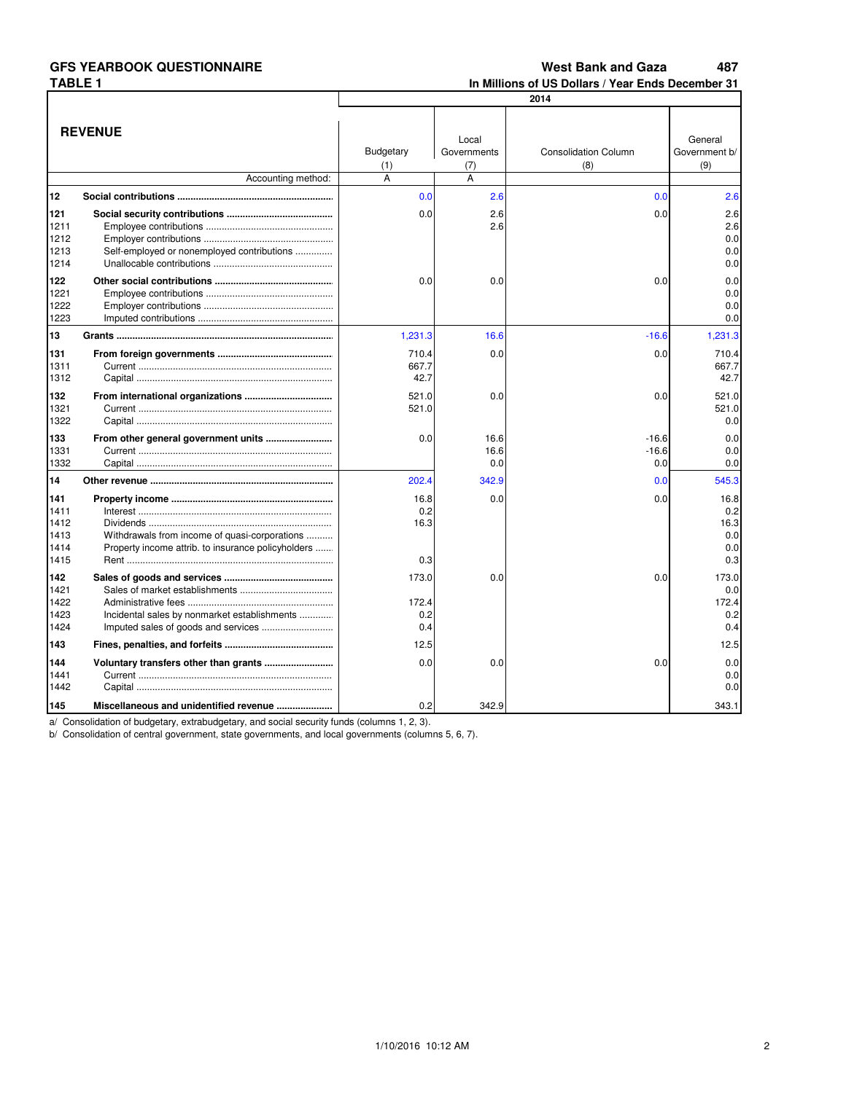**West Bank and Gaza** 487 In Millions of US Dollars / Year Ends December 31

|              |                                                                                                     | 2014             |                      |                             |                          |  |  |
|--------------|-----------------------------------------------------------------------------------------------------|------------------|----------------------|-----------------------------|--------------------------|--|--|
|              |                                                                                                     |                  |                      |                             |                          |  |  |
|              | <b>REVENUE</b>                                                                                      |                  |                      |                             |                          |  |  |
|              |                                                                                                     | <b>Budgetary</b> | Local<br>Governments | <b>Consolidation Column</b> | General<br>Government b/ |  |  |
|              |                                                                                                     |                  |                      | (8)                         | (9)                      |  |  |
|              | Accounting method:                                                                                  | (1)<br>A         | (7)<br>A             |                             |                          |  |  |
| 12           |                                                                                                     | 0.0              | 2.6                  | 0.0                         | 2.6                      |  |  |
| 121          |                                                                                                     | 0.0              | 2.6                  | 0.0                         | 2.6                      |  |  |
| 1211         |                                                                                                     |                  | 2.6                  |                             | 2.6                      |  |  |
| 1212         |                                                                                                     |                  |                      |                             | 0.0                      |  |  |
| 1213         | Self-employed or nonemployed contributions                                                          |                  |                      |                             | 0.0                      |  |  |
| 1214         |                                                                                                     |                  |                      |                             | 0.0                      |  |  |
|              |                                                                                                     |                  |                      |                             |                          |  |  |
| 122<br>1221  |                                                                                                     | 0.0              | 0.0                  | 0.0                         | 0.0<br>0.0               |  |  |
| 1222         |                                                                                                     |                  |                      |                             | 0.0                      |  |  |
| 1223         |                                                                                                     |                  |                      |                             | 0.0                      |  |  |
| 13           |                                                                                                     | 1,231.3          | 16.6                 | $-16.6$                     | 1,231.3                  |  |  |
| 131          |                                                                                                     | 710.4            | 0.0                  | 0.0                         | 710.4                    |  |  |
| 1311         |                                                                                                     | 667.7            |                      |                             | 667.7                    |  |  |
| 1312         |                                                                                                     | 42.7             |                      |                             | 42.7                     |  |  |
| 132          |                                                                                                     | 521.0            | 0.0                  | 0.0                         | 521.0                    |  |  |
| 1321         |                                                                                                     | 521.0            |                      |                             | 521.0                    |  |  |
| 1322         |                                                                                                     |                  |                      |                             | 0.0                      |  |  |
|              |                                                                                                     |                  |                      |                             |                          |  |  |
| 133          |                                                                                                     | 0.0              | 16.6                 | $-16.6$                     | 0.0                      |  |  |
| 1331<br>1332 |                                                                                                     |                  | 16.6<br>0.0          | $-16.6$<br>0.0              | 0.0<br>0.0               |  |  |
|              |                                                                                                     |                  |                      |                             |                          |  |  |
| 14           |                                                                                                     | 202.4            | 342.9                | 0.0                         | 545.3                    |  |  |
| 141          |                                                                                                     | 16.8             | 0.0                  | 0.0                         | 16.8                     |  |  |
| 1411         |                                                                                                     | 0.2              |                      |                             | 0.2                      |  |  |
| 1412         |                                                                                                     | 16.3             |                      |                             | 16.3                     |  |  |
| 1413<br>1414 | Withdrawals from income of quasi-corporations<br>Property income attrib. to insurance policyholders |                  |                      |                             | 0.0<br>0.0               |  |  |
| 1415         |                                                                                                     | 0.3              |                      |                             | 0.3                      |  |  |
|              |                                                                                                     |                  |                      |                             |                          |  |  |
| 142<br>1421  |                                                                                                     | 173.0            | 0.0                  | 0.0                         | 173.0                    |  |  |
| 1422         |                                                                                                     | 172.4            |                      |                             | 0.0<br>172.4             |  |  |
| 1423         | Incidental sales by nonmarket establishments                                                        | 0.2              |                      |                             | 0.2                      |  |  |
| 1424         |                                                                                                     | 0.4              |                      |                             | 0.4                      |  |  |
| 143          |                                                                                                     | 12.5             |                      |                             | 12.5                     |  |  |
| 144          |                                                                                                     | 0.0              | 0.0                  | 0.0                         | 0.0                      |  |  |
| 1441         |                                                                                                     |                  |                      |                             | 0.0                      |  |  |
| 1442         |                                                                                                     |                  |                      |                             | 0.0                      |  |  |
|              |                                                                                                     |                  |                      |                             |                          |  |  |
| 145          | Miscellaneous and unidentified revenue                                                              | 0.2              | 342.9                |                             | 343.1                    |  |  |

a/ Consolidation of budgetary, extrabudgetary, and social security funds (columns 1, 2, 3).<br>b/ Consolidation of central government, state governments, and local governments (columns 5, 6, 7).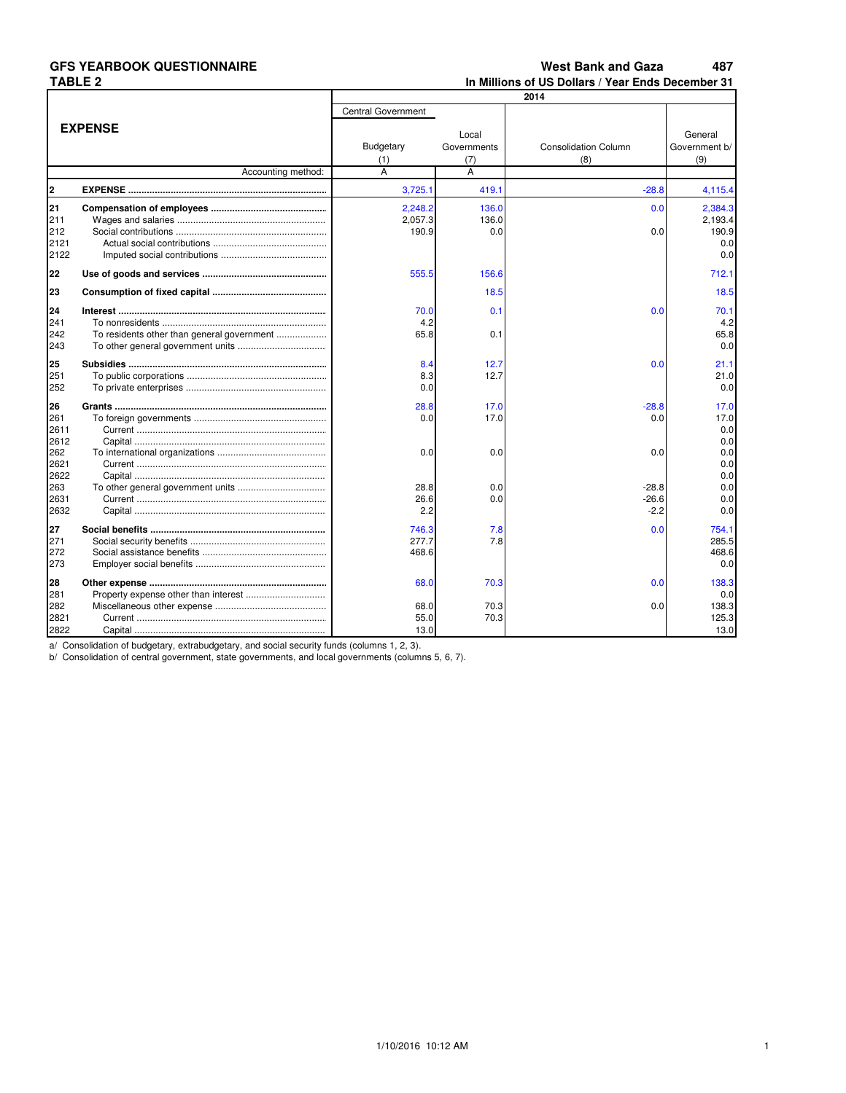#### **West Bank and Gaza** 487 In Millions of US Dollars / Year Ends December 31

|      |                                            |                           |             | 2014                        |               |
|------|--------------------------------------------|---------------------------|-------------|-----------------------------|---------------|
|      |                                            | <b>Central Government</b> |             |                             |               |
|      | <b>EXPENSE</b>                             |                           |             |                             |               |
|      |                                            |                           | Local       |                             | General       |
|      |                                            | Budgetary                 | Governments | <b>Consolidation Column</b> | Government b/ |
|      |                                            | (1)                       | (7)         | (8)                         | (9)           |
|      | Accounting method:                         | A                         | A           |                             |               |
| 2    |                                            | 3,725.1                   | 419.1       | $-28.8$                     | 4,115.4       |
| 21   |                                            | 2.248.2                   | 136.0       | 0.0                         | 2.384.3       |
| 211  |                                            | 2,057.3                   | 136.0       |                             | 2,193.4       |
| 212  |                                            | 190.9                     | 0.0         | 0.0                         | 190.9         |
| 2121 |                                            |                           |             |                             | 0.0           |
| 2122 |                                            |                           |             |                             | 0.0           |
| 22   |                                            | 555.5                     | 156.6       |                             | 712.1         |
| 23   |                                            |                           | 18.5        |                             | 18.5          |
| 24   |                                            | 70.0                      | 0.1         | 0.0                         | 70.1          |
| 241  |                                            | 4.2                       |             |                             | 4.2           |
| 242  | To residents other than general government | 65.8                      | 0.1         |                             | 65.8          |
| 243  |                                            |                           |             |                             | 0.0           |
|      |                                            |                           |             |                             |               |
| 25   |                                            | 8.4                       | 12.7        | 0.0                         | 21.1          |
| 251  |                                            | 8.3                       | 12.7        |                             | 21.0          |
| 252  |                                            | 0.0                       |             |                             | 0.0           |
| 26   |                                            | 28.8                      | 17.0        | $-28.8$                     | 17.0          |
| 261  |                                            | 0.0                       | 17.0        | 0.0                         | 17.0          |
| 2611 |                                            |                           |             |                             | 0.0           |
| 2612 |                                            |                           |             |                             | 0.0           |
| 262  |                                            | 0.0                       | 0.0         | 0.0                         | 0.0           |
| 2621 |                                            |                           |             |                             | 0.0           |
| 2622 |                                            |                           |             |                             | 0.0           |
| 263  |                                            | 28.8                      | 0.0         | $-28.8$                     | 0.0           |
| 2631 |                                            | 26.6                      | 0.0         | $-26.6$                     | 0.0           |
| 2632 |                                            | 2.2                       |             | $-2.2$                      | 0.0           |
| 27   |                                            | 746.3                     | 7.8         | 0.0                         | 754.1         |
| 271  |                                            | 277.7                     | 7.8         |                             | 285.5         |
| 272  |                                            | 468.6                     |             |                             | 468.6         |
| 273  |                                            |                           |             |                             | 0.0           |
| 28   |                                            | 68.0                      | 70.3        | 0.0                         | 138.3         |
| 281  |                                            |                           |             |                             | 0.0           |
| 282  |                                            | 68.0                      | 70.3        | 0.0                         | 138.3         |
| 2821 |                                            | 55.0                      | 70.3        |                             | 125.3         |
| 2822 |                                            | 13.0                      |             |                             | 13.0          |

a/ Consolidation of budgetary, extrabudgetary, and social security funds (columns 1, 2, 3).<br>b/ Consolidation of central government, state governments, and local governments (columns 5, 6, 7).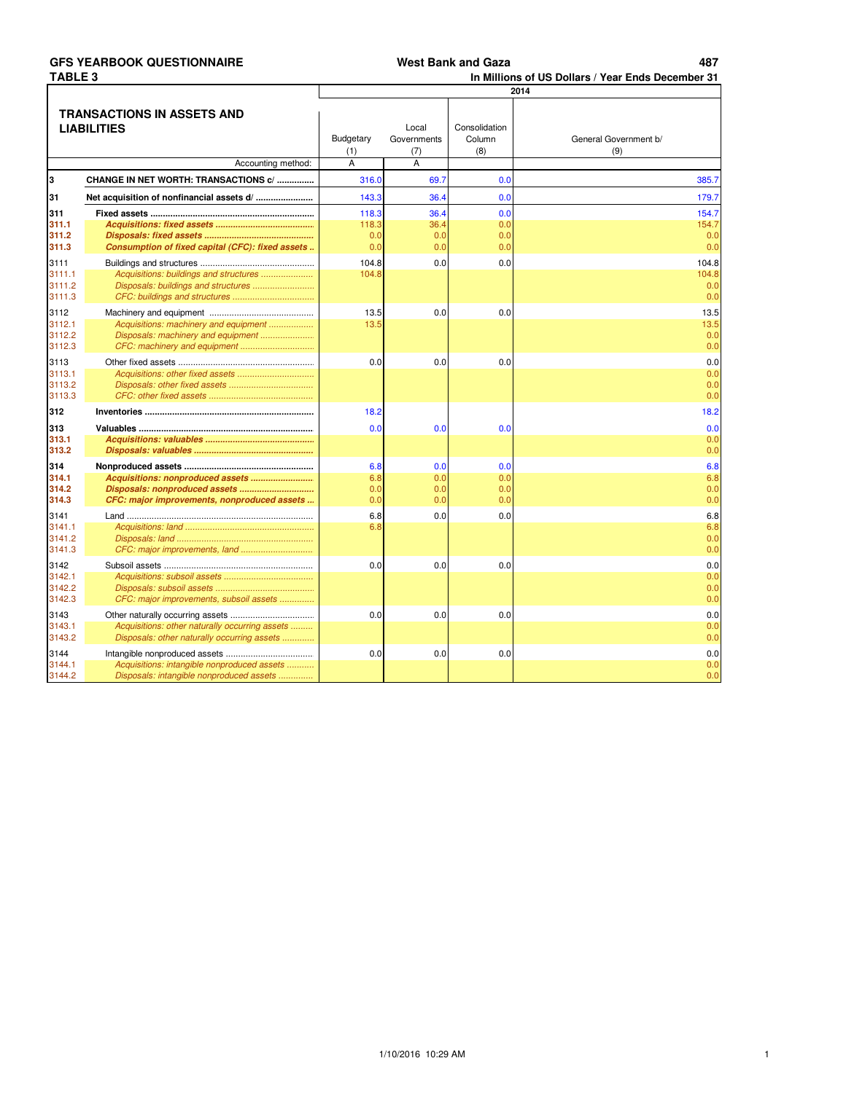487

In Millions of US Dollars / Year Ends December 31

|                                                                        |                                                                                         | 2014                         |                                  |                                |                              |  |  |  |
|------------------------------------------------------------------------|-----------------------------------------------------------------------------------------|------------------------------|----------------------------------|--------------------------------|------------------------------|--|--|--|
| TRANSACTIONS IN ASSETS AND<br><b>LIABILITIES</b><br>Accounting method: |                                                                                         | <b>Budgetary</b><br>(1)<br>A | Local<br>Governments<br>(7)<br>A | Consolidation<br>Column<br>(8) | General Government b/<br>(9) |  |  |  |
| l3                                                                     | CHANGE IN NET WORTH: TRANSACTIONS c/                                                    | 316.0                        | 69.7                             | 0.0                            | 385.7                        |  |  |  |
| 31                                                                     |                                                                                         | 143.3                        | 36.4                             | 0.0                            |                              |  |  |  |
|                                                                        |                                                                                         |                              |                                  |                                | 179.7                        |  |  |  |
| 311<br>311.1                                                           |                                                                                         | 118.3<br>118.3               | 36.4<br>36.4                     | 0.0<br>0.0                     | 154.7<br>154.7               |  |  |  |
| 311.2                                                                  |                                                                                         | 0.0                          | 0.0                              | 0.0                            | 0.0                          |  |  |  |
| 311.3                                                                  | Consumption of fixed capital (CFC): fixed assets                                        | 0.0                          | 0.0                              | 0.0                            | 0.0                          |  |  |  |
| 3111                                                                   |                                                                                         | 104.8                        | 0.0                              | 0.0                            | 104.8                        |  |  |  |
| 3111.1                                                                 | Acquisitions: buildings and structures                                                  | 104.8                        |                                  |                                | 104.8                        |  |  |  |
| 3111.2                                                                 |                                                                                         |                              |                                  |                                | 0.0                          |  |  |  |
| 3111.3                                                                 |                                                                                         |                              |                                  |                                | 0.0                          |  |  |  |
| 3112                                                                   |                                                                                         | 13.5                         | 0.0                              | 0.0                            | 13.5                         |  |  |  |
| 3112.1<br>3112.2                                                       | Acquisitions: machinery and equipment                                                   | 13.5                         |                                  |                                | 13.5                         |  |  |  |
| 3112.3                                                                 | Disposals: machinery and equipment                                                      |                              |                                  |                                | 0.0<br>0.0                   |  |  |  |
| 3113                                                                   |                                                                                         | 0.0                          | 0.0                              | 0.0                            | 0.0                          |  |  |  |
| 3113.1                                                                 |                                                                                         |                              |                                  |                                | 0.0                          |  |  |  |
| 3113.2                                                                 |                                                                                         |                              |                                  |                                | 0.0                          |  |  |  |
| 3113.3                                                                 |                                                                                         |                              |                                  |                                | 0.0                          |  |  |  |
| 312                                                                    |                                                                                         | 18.2                         |                                  |                                | 18.2                         |  |  |  |
| 313                                                                    |                                                                                         | 0.0                          | 0.0                              | 0.0                            | 0.0                          |  |  |  |
| 313.1                                                                  |                                                                                         |                              |                                  |                                | 0.0                          |  |  |  |
| 313.2                                                                  |                                                                                         |                              |                                  |                                | 0.0                          |  |  |  |
| 314                                                                    |                                                                                         | 6.8                          | 0.0                              | 0.0                            | 6.8                          |  |  |  |
| 314.1                                                                  |                                                                                         | 6.8                          | 0.0                              | 0.0                            | 6.8                          |  |  |  |
| 314.2<br>314.3                                                         | CFC: major improvements, nonproduced assets                                             | 0.0<br>0.0                   | 0.0<br>0.0                       | 0.0<br>0.0                     | 0.0<br>0.0                   |  |  |  |
|                                                                        |                                                                                         |                              |                                  |                                |                              |  |  |  |
| 3141<br>3141.1                                                         |                                                                                         | 6.8<br>6.8                   | 0.0                              | 0.0                            | 6.8<br>6.8                   |  |  |  |
| 3141.2                                                                 |                                                                                         |                              |                                  |                                | 0.0                          |  |  |  |
| 3141.3                                                                 | CFC: major improvements, land                                                           |                              |                                  |                                | 0.0                          |  |  |  |
| 3142                                                                   |                                                                                         | 0.0                          | 0.0                              | 0.0                            | 0.0                          |  |  |  |
| 3142.1                                                                 |                                                                                         |                              |                                  |                                | 0.0                          |  |  |  |
| 3142.2                                                                 |                                                                                         |                              |                                  |                                | 0.0                          |  |  |  |
| 3142.3                                                                 | CFC: major improvements, subsoil assets                                                 |                              |                                  |                                | 0.0                          |  |  |  |
| 3143                                                                   |                                                                                         | 0.0                          | 0.0                              | 0.0                            | 0.0                          |  |  |  |
| 3143.1                                                                 | Acquisitions: other naturally occurring assets                                          |                              |                                  |                                | 0.0                          |  |  |  |
| 3143.2                                                                 | Disposals: other naturally occurring assets                                             |                              |                                  |                                | 0.0                          |  |  |  |
| 3144                                                                   |                                                                                         | 0.0                          | 0.0                              | 0.0                            | 0.0                          |  |  |  |
| 3144.1<br>3144.2                                                       | Acquisitions: intangible nonproduced assets<br>Disposals: intangible nonproduced assets |                              |                                  |                                | 0.0<br>0.0                   |  |  |  |
|                                                                        |                                                                                         |                              |                                  |                                |                              |  |  |  |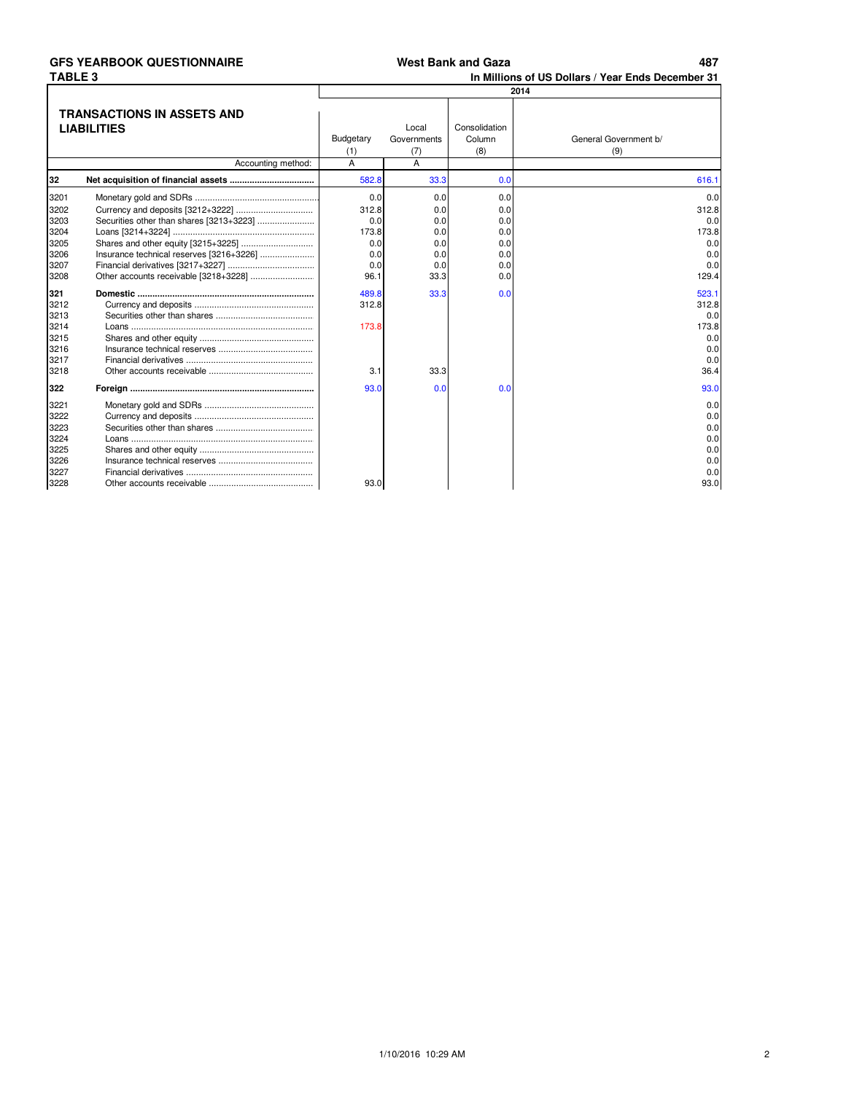| West Bank and Gaza |  |
|--------------------|--|
|--------------------|--|

487

In Millions of US Dollars / Year Ends December 31

|                                                      |                                          | 2014                    |                             |                                |                                                       |  |  |  |
|------------------------------------------------------|------------------------------------------|-------------------------|-----------------------------|--------------------------------|-------------------------------------------------------|--|--|--|
| TRANSACTIONS IN ASSETS AND<br><b>LIABILITIES</b>     |                                          | Budgetary<br>(1)        | Local<br>Governments<br>(7) | Consolidation<br>Column<br>(8) | General Government b/<br>(9)                          |  |  |  |
|                                                      | Accounting method:                       | A                       | A                           |                                |                                                       |  |  |  |
| 32                                                   |                                          | 582.8                   | 33.3                        | 0.0                            | 616.1                                                 |  |  |  |
| 3201                                                 |                                          | 0.0                     | 0.0                         | 0.0                            | 0.0                                                   |  |  |  |
| 3202<br>3203                                         |                                          | 312.8<br>0.0            | 0.0<br>0.0                  | 0.0<br>0.0                     | 312.8<br>0.0                                          |  |  |  |
| 3204<br>3205                                         |                                          | 173.8<br>0.0            | 0.0<br>0.0                  | 0.0<br>0.0                     | 173.8<br>0.0                                          |  |  |  |
| 3206<br>3207<br>3208                                 | Insurance technical reserves [3216+3226] | 0.0<br>0.0<br>96.1      | 0.0<br>0.0<br>33.3          | 0.0<br>0.0<br>0.0              | 0.0<br>0.0<br>129.4                                   |  |  |  |
| 321<br>3212<br>3213<br>3214<br>3215                  |                                          | 489.8<br>312.8<br>173.8 | 33.3                        | 0.0                            | 523.1<br>312.8<br>0.0<br>173.8<br>0.0                 |  |  |  |
| 3216<br>3217<br>3218                                 |                                          | 3.1                     | 33.3                        |                                | 0.0<br>0.0<br>36.4                                    |  |  |  |
| 322                                                  |                                          | 93.0                    | 0.0                         | 0.0                            | 93.0                                                  |  |  |  |
| 3221<br>3222<br>3223<br>3224<br>3225<br>3226<br>3227 |                                          |                         |                             |                                | 0.0<br>0.0<br>0.0<br>0.0<br>0.0<br>0.0<br>0.0<br>93.0 |  |  |  |
| 3228                                                 |                                          | 93.0                    |                             |                                |                                                       |  |  |  |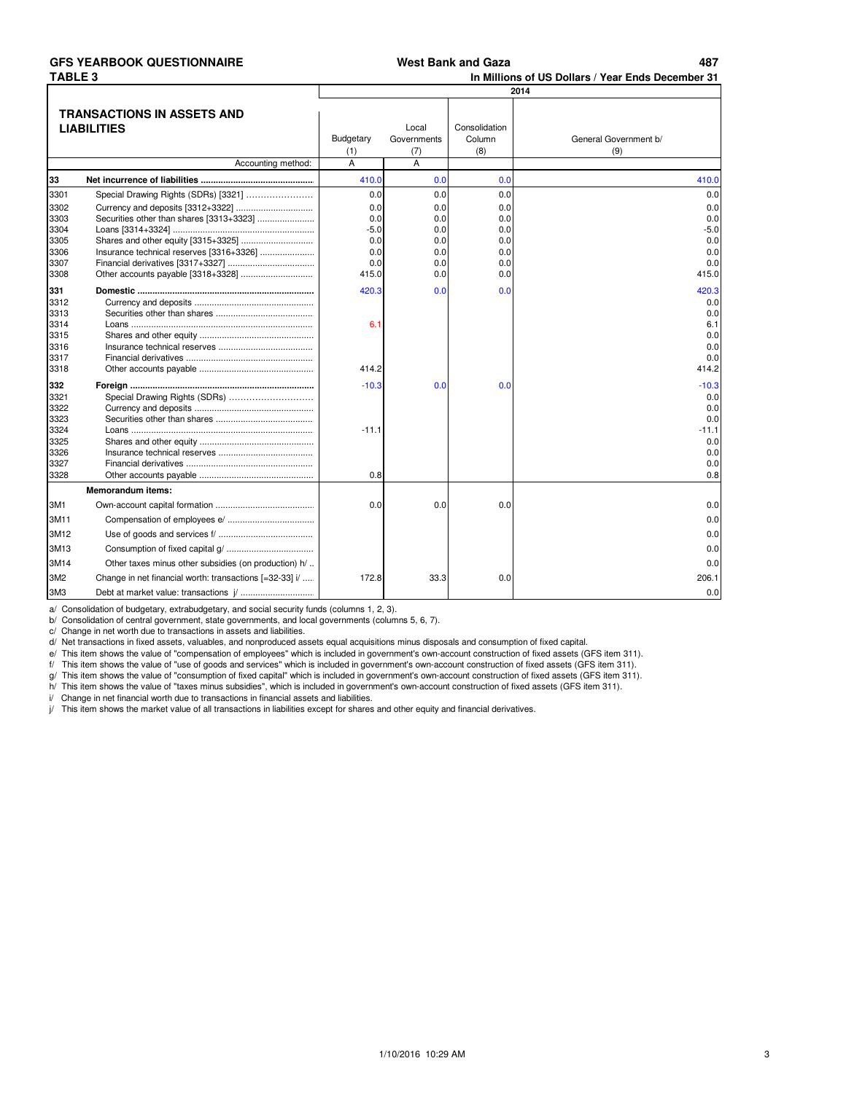#### **GFS YEARBOOK QUESTIONNAIRE 179,15 487 TABLE 3**

**In Millions of US Dollars / Year Ends December 31**

|                 |                                                         | 2014      |                      |                         |                       |  |  |  |  |
|-----------------|---------------------------------------------------------|-----------|----------------------|-------------------------|-----------------------|--|--|--|--|
|                 | <b>TRANSACTIONS IN ASSETS AND</b>                       |           |                      |                         |                       |  |  |  |  |
|                 |                                                         |           |                      |                         |                       |  |  |  |  |
|                 | <b>LIABILITIES</b>                                      | Budgetary | Local<br>Governments | Consolidation<br>Column | General Government b/ |  |  |  |  |
|                 |                                                         |           |                      | (8)                     | (9)                   |  |  |  |  |
|                 | Accounting method:                                      | (1)<br>A  | (7)<br>A             |                         |                       |  |  |  |  |
| 33              |                                                         | 410.0     | 0.0                  | 0.0                     | 410.0                 |  |  |  |  |
| 3301            | Special Drawing Rights (SDRs) [3321]                    | 0.0       | 0.0                  | 0.0                     | 0.0                   |  |  |  |  |
| 3302            |                                                         | 0.0       | 0.0                  | 0.0                     | 0.0                   |  |  |  |  |
| 3303            |                                                         | 0.0       | 0.0                  | 0.0                     | 0.0                   |  |  |  |  |
| 3304            |                                                         | $-5.0$    | 0.0                  | 0.0                     | $-5.0$                |  |  |  |  |
| 3305            |                                                         | 0.0       | 0.0                  | 0.0                     | 0.0                   |  |  |  |  |
| 3306            |                                                         | 0.0       | 0.0                  | 0.0                     | 0.0                   |  |  |  |  |
| 3307            |                                                         | 0.0       | 0.0                  | 0.0                     | 0.0                   |  |  |  |  |
| 3308            |                                                         | 415.0     | 0.0                  | 0.0                     | 415.0                 |  |  |  |  |
| 331             |                                                         | 420.3     | 0.0                  | 0.0                     | 420.3                 |  |  |  |  |
| 3312            |                                                         |           |                      |                         | 0.0                   |  |  |  |  |
| 3313            |                                                         |           |                      |                         | 0.0                   |  |  |  |  |
| 3314            |                                                         | 6.1       |                      |                         | 6.1                   |  |  |  |  |
| 3315            |                                                         |           |                      |                         | 0.0                   |  |  |  |  |
| 3316            |                                                         |           |                      |                         | 0.0                   |  |  |  |  |
| 3317            |                                                         |           |                      |                         | 0.0                   |  |  |  |  |
| 3318            |                                                         | 414.2     |                      |                         | 414.2                 |  |  |  |  |
| 332             |                                                         | $-10.3$   | 0.0                  | 0.0                     | $-10.3$               |  |  |  |  |
| 3321            | Special Drawing Rights (SDRs)                           |           |                      |                         | 0.0                   |  |  |  |  |
| 3322            |                                                         |           |                      |                         | 0.0                   |  |  |  |  |
| 3323            |                                                         |           |                      |                         | 0.0                   |  |  |  |  |
| 3324            |                                                         | $-11.1$   |                      |                         | $-11.1$               |  |  |  |  |
| 3325            |                                                         |           |                      |                         | 0.0                   |  |  |  |  |
| 3326            |                                                         |           |                      |                         | 0.0                   |  |  |  |  |
| 3327            |                                                         |           |                      |                         | 0.0                   |  |  |  |  |
| 3328            |                                                         | 0.8       |                      |                         | 0.8                   |  |  |  |  |
|                 | <b>Memorandum items:</b>                                |           |                      |                         |                       |  |  |  |  |
| 3M1             |                                                         | 0.0       | 0.0                  | 0.0                     | 0.0                   |  |  |  |  |
| 3M11            |                                                         |           |                      |                         | 0.0                   |  |  |  |  |
| 3M12            |                                                         |           |                      |                         | 0.0                   |  |  |  |  |
| 3M13            |                                                         |           |                      |                         | 0.0                   |  |  |  |  |
| 3M14            | Other taxes minus other subsidies (on production) h/    |           |                      |                         | 0.0                   |  |  |  |  |
| 3M <sub>2</sub> | Change in net financial worth: transactions [=32-33] i/ | 172.8     | 33.3                 | 0.0                     | 206.1                 |  |  |  |  |
| 3M3             |                                                         |           |                      |                         | 0.0                   |  |  |  |  |

a/ Consolidation of budgetary, extrabudgetary, and social security funds (columns 1, 2, 3).

b/ Consolidation of central government, state governments, and local governments (columns 5, 6, 7).

c/ Change in net worth due to transactions in assets and liabilities.

d/ Net transactions in fixed assets, valuables, and nonproduced assets equal acquisitions minus disposals and consumption of fixed capital.

e/ This item shows the value of "compensation of employees" which is included in government's own-account construction of fixed assets (GFS item 311).

f/ This item shows the value of "use of goods and services" which is included in government's own-account construction of fixed assets (GFS item 311).

g/ This item shows the value of "consumption of fixed capital" which is included in government's own-account construction of fixed assets (GFS item 311).

h/ This item shows the value of "taxes minus subsidies", which is included in government's own-account construction of fixed assets (GFS item 311).

i/ Change in net financial worth due to transactions in financial assets and liabilities.

j/ This item shows the market value of all transactions in liabilities except for shares and other equity and financial derivatives.